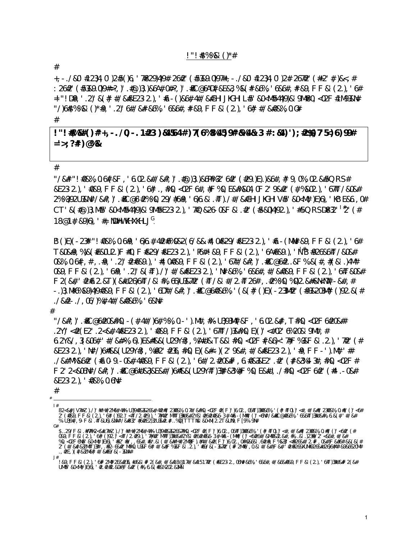## $!$  "! #\$%%&' ()\*#

 $#$ 

+, -./&0' #123)4, 0' )2#5()6, '7#829)4)9#: 26#2' (#53&9.0)97#+, -./&0' #123)4, 0' )2#: 267#2' (#+2' #; )&<, # : 26#2′(#53&9.0)9#>?, )′.#@.)3).)&6A#, 0#>?, )′.#C@6AD#(&E&3, %&(#! &6%, ′6&6#.,#! &9, FF&′(2.), ′6# =! ''! D#9, ′.2)′&(#)′#./&#&E23-2.),′#6.-()&6#, 4#./&#GHIJKGHIL#5′&O<M#544)9)&′9M#80, <02F#1M93&\ "/)6#\$%%&'()\*#9,'.2)'6#./&#!&6%,'6&6#.,#!&9, FF&'(2.),'6#)'#./&#0&%,0.0#

 $#$ 

!"! \$%&#'()#\*+,-./0,-.1#23)&4564#")7(6%8%45)9#\*&%4&:3#":&4)');#2\$\$)7'5<)6)99# ='>;?#!)@%&'!"#\$%&%&!()&\*+%-!.'/\$'/\*0%&1!2&3/4)!5!63-'7/,3-!8'970%&-1!2(!: '/;! #/<3/!2(=#=2>?=@1!. \*9+ \*, !A(!B. ?CDEE@FDEG!

"/&#! "! #0&%, 0.6#(&F, ' 6.02.&#./&#?, )' .#@.)3).)&6P#%32' 6#2' (#29.)E).)&6#., #)' 9, 0%, 02.&#5QRS# &E23-2.),'#0&9, FF&' (2.),'6#)'.,#%0,<02F6#.,#F%0,E&#%&04,0F2'9&#2' (#,%&02.),'67#T/&0&# 2%%3)92U3&\\'/&#?,)'.\C@6'#2%%0,29/#)6#9,'6)6.&'.#T)./#./&#GHIJKGHIV#5'&0<\\:)E)6),'KB'E&6.,0# CT'&(#@.)3).M#5'&0<M#544)9)&'9M#5E23-2.),'7#Q&26-0&F&'.#2'(#S&0)4)92.),'#=5QRSD#832'<sup>1#</sup>2'(# 18@1#; &9)6), '#: ND#HWKHXKHLJ<sup>G</sup>.

 $B'$  ()E)(-2}! "! #0&%, 0.6#9, '6)6.#, 4#2#6%0&2(6/&&.#4, 0#&29/#&E23-2.), '#6.-(M\! &9, FF&'(2.), '6# T&0&#9,%)&(#E&0U2.)F#0, F#&29/#&E23-2.),′№#>!&9, FF&′(2.),′6А#6&9.),′№№1#926&6#Т/&0&# 0&%,0.6#(,#',.#9,'.2)'#2#6&9.),'#4,0#0&9, FF&'(2.),'67#./&#?,)'.#C@6#2..&F%.&(#,,#)(&'.)4M# 0&9, FF&' (2.),'6#9,'.2)'&(#T)./)'#./&#&E23-2.),'\#!&6%,'6&6#.,#./&#0&9, FF&' (2.),'6#T&0&#  $F2(8#, '#2#6.2.8T)(8#U26)6#T/8'#8,66)U387#2' ($TT/8' *,72.#T26#', +#2%00, %0)2.8#-8N~W#(-8#', +#2)2.8$ -.)3).MK6%&9)4)9#0&9, FF&′(2.),′6D7#./&#?,)′.#C@6#0&6%,′(&(#)′()E)(-233M#2′(#93&203M#)′()92.&(#  $1/8$ #2 –  $1/06/$ %#, 4#./&#0&6%, '6&N#

 $#$ 

"/&#?, )′.#C@6#20&#%0, -(#,4#./)6#,%%, 0.-′).M#.,#%-U3)93M#(&F, ′6.02.&#/, T#%0, <02F6#20&## .2Y)' <#2(E2' .2<&#,4#&E23-2.),'#0&9, FF&' (2.),'67#T/}3&#%0, E)()' <#.02' 6%20&' 9M#.,# 6.2Y&/, 3(&06#, ' #./&#>%, 6).)E&#A&&(U29Y#3,, %A#U&.T&&' #%0, <02F#(&6)<' 7#)F%3&F&' .2.), ' 7#2' (# &E23-2.), ' \"'/)6#4&&(U29Y#3,, %#92' #236, #%0, E)(&#<-)(2' 9&#., #./&#&E23-2.), ' #9, FF-').M#, ' # ./&#.M%&6#2′(#6.0-9.-0&#,4#0&9, FF&′(2.),′6#./2.#20&#F,6.#0&3&E2′.#2′(#/&3%4-3#.,#%0,<02F# F2'2<&06\"'/&#?,)'.#C@6#U&3)&E&#./)6#A&&(U29Y#T)33#/&3%#F%0,E&#U,./#%0,<02F6#2'(#4-.-0&# &E23-2.), ' #0&%, 0.6\#

 $#$ 

<sup>82&</sup>lt;&#JJV7!>Z)./)′#VH#(2M6#,4#%-U3)9#0&3&26&#,4#2#Q'23#0&%,0.7#./&#%0,<02F#2(F)')6.02.,06#T}33#0&6%,′(#)′#T0).}′<#,#./&#4}′23#0&%,0.#Q'()′<6#<br>2′(#0&9, FF&′(2.),′6#)′()92.)′<#T/2.#29.),′7#A#2′M7#T}33#U&#.2Y&′#26#2#0&6-3.#,4

<sup>\$..29/</sup>F&′.#W#%2<&#L7\$>Z)./)′#VH#(2M6#,4#%-U3)9#0&3&26&7#%0,<02F#2(F)′)6.02.,06#T)3#0&6%,′(#)′#T0).)′<#.,#./&#4)′23#0&%,0.#4)′()′<6#2′(#<br>0&9, FF&′(2.),′6#)′()92.)′<#T/2.#29.),′7#}4#2′M7#T)33#U&#.2Y&′#26#2#0&6-3.#,4#6.-(M#4)

<sup>!&</sup>amp;9.FF&′(2.).′6#F2M#/2E&#236,#U&&′#F2(&#..#./&#18@1/#./&#151/#2′(#&E23-2.,06\#1&6%,′6&6#.,#./&6&#0&9,FF&′(2.),′6#T}33#U&#F2(&#  $100$ <br>UM#5' &0<M#; )E)6), ' #2.#2#32.&0#.)F &#2' (#%, 6.& (#6&%202.&3MN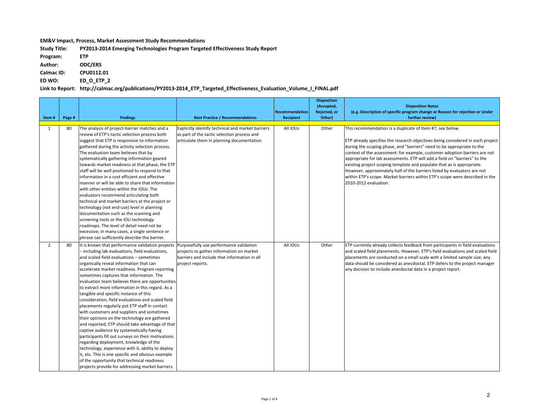**EM&V** Impact, Process, Market Assessment Study Recommendations

Study Title: PY2013-2014 Emerging Technologies Program Targeted Effectiveness Study Report

**Program: ETP**

**Author: ODC/ERS**

**Calmac ID: CPU0112.01**

**ED WO: ED\_O\_ETP\_2**

**Link to Report: http://calmac.org/publications/PY2013-2014\_ETP\_Targeted\_Effectiveness\_Evaluation\_Volume\_I\_FINAL.pdf**

|                |        |                                                                                                                                                                                                                                                                                                                                                                                                                                                                                                                                                                                                                                                                                                                                                                                                                                                                                                                                                                                                                                                                                                               |                                                                                                                                                         |                                           | <b>Disposition</b><br>(Accepted, | <b>Disposition Notes</b>                                                                                                                                                                                                                                                                                                                                                                                                                                                                                                                                                                                                                         |
|----------------|--------|---------------------------------------------------------------------------------------------------------------------------------------------------------------------------------------------------------------------------------------------------------------------------------------------------------------------------------------------------------------------------------------------------------------------------------------------------------------------------------------------------------------------------------------------------------------------------------------------------------------------------------------------------------------------------------------------------------------------------------------------------------------------------------------------------------------------------------------------------------------------------------------------------------------------------------------------------------------------------------------------------------------------------------------------------------------------------------------------------------------|---------------------------------------------------------------------------------------------------------------------------------------------------------|-------------------------------------------|----------------------------------|--------------------------------------------------------------------------------------------------------------------------------------------------------------------------------------------------------------------------------------------------------------------------------------------------------------------------------------------------------------------------------------------------------------------------------------------------------------------------------------------------------------------------------------------------------------------------------------------------------------------------------------------------|
| Item#          | Page # | <b>Findings</b>                                                                                                                                                                                                                                                                                                                                                                                                                                                                                                                                                                                                                                                                                                                                                                                                                                                                                                                                                                                                                                                                                               | <b>Best Practice / Recommendations</b>                                                                                                                  | <b>Recommendation</b><br><b>Recipient</b> | Rejected, or<br>Other)           | (e.g. Description of specific program change or Reason for rejection or Under<br>further review)                                                                                                                                                                                                                                                                                                                                                                                                                                                                                                                                                 |
| 1              | 80     | The analysis of project-barrier matches and a<br>review of ETP's tactic selection process both<br>suggest that ETP is responsive to information<br>gathered during the activity selection process.<br>The evaluation team believes that by<br>systematically gathering information geared<br>towards market readiness at that phase, the ETP<br>staff will be well positioned to respond to that<br>information in a cost efficient and effective<br>manner or will be able to share that information<br>with other entities within the IOUs. The<br>evaluators recommend articulating both<br>technical and market barriers at the project or<br>technology (not end-use) level in planning<br>documentation such as the scanning and<br>screening tools or the IOU technology<br>roadmaps. The level of detail need not be<br>excessive; in many cases, a single sentence or                                                                                                                                                                                                                                | Explicitly identify technical and market barriers<br>as part of the tactic selection process and<br>articulate them in planning documentation           | All IOUs                                  | Other                            | This recommendation is a duplicate of Item #7; see below.<br>ETP already specifies the research objectives being considered in each project<br>during the scoping phase, and "barriers" need to be appropriate to the<br>context of the assessment: for example, customer adoption barriers are not<br>appropriate for lab assessments. ETP will add a field on "barriers" to the<br>existing project scoping template and populate that as is appropriate.<br>However, approximately half of the barriers listed by evaluators are not<br>within ETP's scope. Market barriers within ETP's scope were described in the<br>2010-2012 evaluation. |
| $\overline{2}$ | 80     | phrase can sufficiently describe the barrier.<br>It is known that performance validation projects<br>- including lab evaluations, field evaluations,<br>and scaled field evaluations - sometimes<br>organically reveal information that can<br>accelerate market readiness. Program reporting<br>sometimes captures that information. The<br>evaluation team believes there are opportunities<br>to extract more information in this regard. As a<br>tangible and specific instance of this<br>consideration, field evaluations and scaled field<br>placements regularly put ETP staff in contact<br>with customers and suppliers and sometimes<br>their opinions on the technology are gathered<br>and reported; ETP should take advantage of that<br>captive audience by systematically having<br>participants fill out surveys on their motivations<br>regarding deployment, knowledge of the<br>technology, experience with it, ability to deploy<br>it, etc. This is one specific and obvious example<br>of the opportunity that technical readiness<br>projects provide for addressing market barriers. | Purposefully use performance validation<br>projects to gather information on market<br>barriers and include that information in all<br>project reports. | All IOUs                                  | Other                            | ETP currently already collects feedback from participants in field evaluations<br>and scaled field plarements. However, ETP's field evaluations and scaled field<br>placements are conducted on a small scale with a limited sample size; any<br>data should be considered as anecdoctal. ETP defers to the project manager<br>any decision to include anecdoctal data in a project report.                                                                                                                                                                                                                                                      |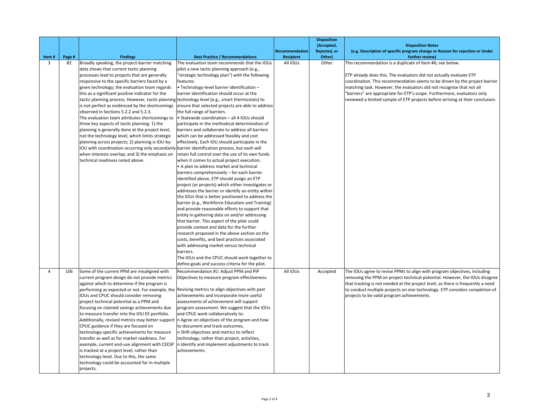| $\overline{3}$<br>82<br>Broadly speaking, the project-barrier matching<br>The evaluation team recommends that the IOUs<br>All IOUs<br>Other<br>This recommendation is a duplicate of Item #6; see below.<br>data shows that current tactic planning<br>pilot a new tactic planning approach (e.g.,<br>processes lead to projects that are generally<br>"strategic technology plan") with the following<br>ETP already does this. The evaluators did not actually evaluate ETP<br>responsive to the specific barriers faced by a<br>features:<br>matching task. However, the evaluators did not recognize that not all<br>given technology; the evaluation team regards<br>• Technology-level barrier identification -<br>this as a significant positive indicator for the<br>barrier identification should occur at the<br>"barriers" are appropriate for ETP's scope. Furthermore, evaluators only<br>tactic planning process. However, tactic planning<br>technology level (e.g., smart thermostats) to<br>is not perfect as evidenced by the shortcomings<br>ensure that selected projects are able to address<br>observed in Sections 5.2.2 and 5.2.3.<br>the full range of barriers.<br>· Statewide coordination - all 4 IOUs should<br>The evaluation team attributes shortcomings to<br>three key aspects of tactic planning: 1) the<br>participate in the methodical determination of<br>barriers and collaborate to address all barriers<br>planning is generally done at the project level,<br>not the technology level, which limits strategic<br>which can be addressed feasibly and cost<br>planning across projects; 2) planning is IOU-by-<br>effectively. Each IOU should participate in the<br>IOU with coordination occurring only secondarily<br>barrier identification process, but each will<br>when interests overlap; and 3) the emphasis on<br>retain full control over the use of its own funds<br>technical readiness noted above.<br>when it comes to actual project execution.<br>• A plan to address market and technical<br>barriers comprehensively - for each barrier<br>identified above, ETP should assign an ETP<br>project (or projects) which either investigates or<br>addresses the barrier or identify an entity within<br>the IOUs that is better positioned to address the<br>barrier (e.g., Workforce Education and Training)<br>and provide reasonable efforts to support that<br>entity in gathering data on and/or addressing<br>that barrier. This aspect of the pilot could<br>provide context and data for the further<br>research proposed in the above section on the<br>costs, benefits, and best practices associated<br>with addressing market versus technical<br>barriers.<br>The IOUs and the CPUC should work together to<br>define goals and success criteria for the pilot.<br>Some of the current PPM are misaligned with<br>Recommendation #1: Adjust PPM and PIP<br>All IOUs<br>The IOUs agree to revise PPMs to align with program objectives, including<br>$\overline{4}$<br>106<br>Accepted<br>current program design do not provide metrics<br>Objectives to measure program effectiveness.<br>removing the PPM on project technical potential. However, the IOUs disagree<br>against which to determine if the program is<br>that tracking is not needed at the project level, as there is frequently a need<br>performing as expected or not. For example, the<br>Revising metrics to align objectives with past<br>to conduct multiple projects on one technology. ETP considers completion of<br>IOUs and CPUC should consider removing<br>achievements and incorporate more useful<br>projects to be valid program achievements. |       |        |                                          |                                         | Recommendation   | <b>Disposition</b><br>(Accepted,<br>Rejected, or | <b>Disposition Notes</b><br>(e.g. Description of specific program change or Reason for rejection or Under |
|----------------------------------------------------------------------------------------------------------------------------------------------------------------------------------------------------------------------------------------------------------------------------------------------------------------------------------------------------------------------------------------------------------------------------------------------------------------------------------------------------------------------------------------------------------------------------------------------------------------------------------------------------------------------------------------------------------------------------------------------------------------------------------------------------------------------------------------------------------------------------------------------------------------------------------------------------------------------------------------------------------------------------------------------------------------------------------------------------------------------------------------------------------------------------------------------------------------------------------------------------------------------------------------------------------------------------------------------------------------------------------------------------------------------------------------------------------------------------------------------------------------------------------------------------------------------------------------------------------------------------------------------------------------------------------------------------------------------------------------------------------------------------------------------------------------------------------------------------------------------------------------------------------------------------------------------------------------------------------------------------------------------------------------------------------------------------------------------------------------------------------------------------------------------------------------------------------------------------------------------------------------------------------------------------------------------------------------------------------------------------------------------------------------------------------------------------------------------------------------------------------------------------------------------------------------------------------------------------------------------------------------------------------------------------------------------------------------------------------------------------------------------------------------------------------------------------------------------------------------------------------------------------------------------------------------------------------------------------------------------------------------------------------------------------------------------------------------------------------------------------------------------------------------------------------------------------------------------------------------------------------------------------------------------------------------------------------------------------------------------------------------------------------------------------------------------------------------------------------------------------------------------------------------------------------------------------------------------------------------------------------------------------------------------------------------------------------|-------|--------|------------------------------------------|-----------------------------------------|------------------|--------------------------------------------------|-----------------------------------------------------------------------------------------------------------|
|                                                                                                                                                                                                                                                                                                                                                                                                                                                                                                                                                                                                                                                                                                                                                                                                                                                                                                                                                                                                                                                                                                                                                                                                                                                                                                                                                                                                                                                                                                                                                                                                                                                                                                                                                                                                                                                                                                                                                                                                                                                                                                                                                                                                                                                                                                                                                                                                                                                                                                                                                                                                                                                                                                                                                                                                                                                                                                                                                                                                                                                                                                                                                                                                                                                                                                                                                                                                                                                                                                                                                                                                                                                                                                          | Item# | Page # | <b>Findings</b>                          | <b>Best Practice / Recommendations</b>  | <b>Recipient</b> | Other)                                           | further review)                                                                                           |
|                                                                                                                                                                                                                                                                                                                                                                                                                                                                                                                                                                                                                                                                                                                                                                                                                                                                                                                                                                                                                                                                                                                                                                                                                                                                                                                                                                                                                                                                                                                                                                                                                                                                                                                                                                                                                                                                                                                                                                                                                                                                                                                                                                                                                                                                                                                                                                                                                                                                                                                                                                                                                                                                                                                                                                                                                                                                                                                                                                                                                                                                                                                                                                                                                                                                                                                                                                                                                                                                                                                                                                                                                                                                                                          |       |        |                                          |                                         |                  |                                                  |                                                                                                           |
|                                                                                                                                                                                                                                                                                                                                                                                                                                                                                                                                                                                                                                                                                                                                                                                                                                                                                                                                                                                                                                                                                                                                                                                                                                                                                                                                                                                                                                                                                                                                                                                                                                                                                                                                                                                                                                                                                                                                                                                                                                                                                                                                                                                                                                                                                                                                                                                                                                                                                                                                                                                                                                                                                                                                                                                                                                                                                                                                                                                                                                                                                                                                                                                                                                                                                                                                                                                                                                                                                                                                                                                                                                                                                                          |       |        |                                          |                                         |                  |                                                  |                                                                                                           |
|                                                                                                                                                                                                                                                                                                                                                                                                                                                                                                                                                                                                                                                                                                                                                                                                                                                                                                                                                                                                                                                                                                                                                                                                                                                                                                                                                                                                                                                                                                                                                                                                                                                                                                                                                                                                                                                                                                                                                                                                                                                                                                                                                                                                                                                                                                                                                                                                                                                                                                                                                                                                                                                                                                                                                                                                                                                                                                                                                                                                                                                                                                                                                                                                                                                                                                                                                                                                                                                                                                                                                                                                                                                                                                          |       |        |                                          |                                         |                  |                                                  |                                                                                                           |
|                                                                                                                                                                                                                                                                                                                                                                                                                                                                                                                                                                                                                                                                                                                                                                                                                                                                                                                                                                                                                                                                                                                                                                                                                                                                                                                                                                                                                                                                                                                                                                                                                                                                                                                                                                                                                                                                                                                                                                                                                                                                                                                                                                                                                                                                                                                                                                                                                                                                                                                                                                                                                                                                                                                                                                                                                                                                                                                                                                                                                                                                                                                                                                                                                                                                                                                                                                                                                                                                                                                                                                                                                                                                                                          |       |        |                                          |                                         |                  |                                                  | coordination. This recommendation seems to be driven by the project-barrier                               |
|                                                                                                                                                                                                                                                                                                                                                                                                                                                                                                                                                                                                                                                                                                                                                                                                                                                                                                                                                                                                                                                                                                                                                                                                                                                                                                                                                                                                                                                                                                                                                                                                                                                                                                                                                                                                                                                                                                                                                                                                                                                                                                                                                                                                                                                                                                                                                                                                                                                                                                                                                                                                                                                                                                                                                                                                                                                                                                                                                                                                                                                                                                                                                                                                                                                                                                                                                                                                                                                                                                                                                                                                                                                                                                          |       |        |                                          |                                         |                  |                                                  |                                                                                                           |
|                                                                                                                                                                                                                                                                                                                                                                                                                                                                                                                                                                                                                                                                                                                                                                                                                                                                                                                                                                                                                                                                                                                                                                                                                                                                                                                                                                                                                                                                                                                                                                                                                                                                                                                                                                                                                                                                                                                                                                                                                                                                                                                                                                                                                                                                                                                                                                                                                                                                                                                                                                                                                                                                                                                                                                                                                                                                                                                                                                                                                                                                                                                                                                                                                                                                                                                                                                                                                                                                                                                                                                                                                                                                                                          |       |        |                                          |                                         |                  |                                                  |                                                                                                           |
|                                                                                                                                                                                                                                                                                                                                                                                                                                                                                                                                                                                                                                                                                                                                                                                                                                                                                                                                                                                                                                                                                                                                                                                                                                                                                                                                                                                                                                                                                                                                                                                                                                                                                                                                                                                                                                                                                                                                                                                                                                                                                                                                                                                                                                                                                                                                                                                                                                                                                                                                                                                                                                                                                                                                                                                                                                                                                                                                                                                                                                                                                                                                                                                                                                                                                                                                                                                                                                                                                                                                                                                                                                                                                                          |       |        |                                          |                                         |                  |                                                  | reviewed a limited sample of ETP projects before arriving at their conclusion.                            |
|                                                                                                                                                                                                                                                                                                                                                                                                                                                                                                                                                                                                                                                                                                                                                                                                                                                                                                                                                                                                                                                                                                                                                                                                                                                                                                                                                                                                                                                                                                                                                                                                                                                                                                                                                                                                                                                                                                                                                                                                                                                                                                                                                                                                                                                                                                                                                                                                                                                                                                                                                                                                                                                                                                                                                                                                                                                                                                                                                                                                                                                                                                                                                                                                                                                                                                                                                                                                                                                                                                                                                                                                                                                                                                          |       |        |                                          |                                         |                  |                                                  |                                                                                                           |
|                                                                                                                                                                                                                                                                                                                                                                                                                                                                                                                                                                                                                                                                                                                                                                                                                                                                                                                                                                                                                                                                                                                                                                                                                                                                                                                                                                                                                                                                                                                                                                                                                                                                                                                                                                                                                                                                                                                                                                                                                                                                                                                                                                                                                                                                                                                                                                                                                                                                                                                                                                                                                                                                                                                                                                                                                                                                                                                                                                                                                                                                                                                                                                                                                                                                                                                                                                                                                                                                                                                                                                                                                                                                                                          |       |        |                                          |                                         |                  |                                                  |                                                                                                           |
|                                                                                                                                                                                                                                                                                                                                                                                                                                                                                                                                                                                                                                                                                                                                                                                                                                                                                                                                                                                                                                                                                                                                                                                                                                                                                                                                                                                                                                                                                                                                                                                                                                                                                                                                                                                                                                                                                                                                                                                                                                                                                                                                                                                                                                                                                                                                                                                                                                                                                                                                                                                                                                                                                                                                                                                                                                                                                                                                                                                                                                                                                                                                                                                                                                                                                                                                                                                                                                                                                                                                                                                                                                                                                                          |       |        |                                          |                                         |                  |                                                  |                                                                                                           |
|                                                                                                                                                                                                                                                                                                                                                                                                                                                                                                                                                                                                                                                                                                                                                                                                                                                                                                                                                                                                                                                                                                                                                                                                                                                                                                                                                                                                                                                                                                                                                                                                                                                                                                                                                                                                                                                                                                                                                                                                                                                                                                                                                                                                                                                                                                                                                                                                                                                                                                                                                                                                                                                                                                                                                                                                                                                                                                                                                                                                                                                                                                                                                                                                                                                                                                                                                                                                                                                                                                                                                                                                                                                                                                          |       |        |                                          |                                         |                  |                                                  |                                                                                                           |
|                                                                                                                                                                                                                                                                                                                                                                                                                                                                                                                                                                                                                                                                                                                                                                                                                                                                                                                                                                                                                                                                                                                                                                                                                                                                                                                                                                                                                                                                                                                                                                                                                                                                                                                                                                                                                                                                                                                                                                                                                                                                                                                                                                                                                                                                                                                                                                                                                                                                                                                                                                                                                                                                                                                                                                                                                                                                                                                                                                                                                                                                                                                                                                                                                                                                                                                                                                                                                                                                                                                                                                                                                                                                                                          |       |        |                                          |                                         |                  |                                                  |                                                                                                           |
|                                                                                                                                                                                                                                                                                                                                                                                                                                                                                                                                                                                                                                                                                                                                                                                                                                                                                                                                                                                                                                                                                                                                                                                                                                                                                                                                                                                                                                                                                                                                                                                                                                                                                                                                                                                                                                                                                                                                                                                                                                                                                                                                                                                                                                                                                                                                                                                                                                                                                                                                                                                                                                                                                                                                                                                                                                                                                                                                                                                                                                                                                                                                                                                                                                                                                                                                                                                                                                                                                                                                                                                                                                                                                                          |       |        |                                          |                                         |                  |                                                  |                                                                                                           |
|                                                                                                                                                                                                                                                                                                                                                                                                                                                                                                                                                                                                                                                                                                                                                                                                                                                                                                                                                                                                                                                                                                                                                                                                                                                                                                                                                                                                                                                                                                                                                                                                                                                                                                                                                                                                                                                                                                                                                                                                                                                                                                                                                                                                                                                                                                                                                                                                                                                                                                                                                                                                                                                                                                                                                                                                                                                                                                                                                                                                                                                                                                                                                                                                                                                                                                                                                                                                                                                                                                                                                                                                                                                                                                          |       |        |                                          |                                         |                  |                                                  |                                                                                                           |
|                                                                                                                                                                                                                                                                                                                                                                                                                                                                                                                                                                                                                                                                                                                                                                                                                                                                                                                                                                                                                                                                                                                                                                                                                                                                                                                                                                                                                                                                                                                                                                                                                                                                                                                                                                                                                                                                                                                                                                                                                                                                                                                                                                                                                                                                                                                                                                                                                                                                                                                                                                                                                                                                                                                                                                                                                                                                                                                                                                                                                                                                                                                                                                                                                                                                                                                                                                                                                                                                                                                                                                                                                                                                                                          |       |        |                                          |                                         |                  |                                                  |                                                                                                           |
|                                                                                                                                                                                                                                                                                                                                                                                                                                                                                                                                                                                                                                                                                                                                                                                                                                                                                                                                                                                                                                                                                                                                                                                                                                                                                                                                                                                                                                                                                                                                                                                                                                                                                                                                                                                                                                                                                                                                                                                                                                                                                                                                                                                                                                                                                                                                                                                                                                                                                                                                                                                                                                                                                                                                                                                                                                                                                                                                                                                                                                                                                                                                                                                                                                                                                                                                                                                                                                                                                                                                                                                                                                                                                                          |       |        |                                          |                                         |                  |                                                  |                                                                                                           |
|                                                                                                                                                                                                                                                                                                                                                                                                                                                                                                                                                                                                                                                                                                                                                                                                                                                                                                                                                                                                                                                                                                                                                                                                                                                                                                                                                                                                                                                                                                                                                                                                                                                                                                                                                                                                                                                                                                                                                                                                                                                                                                                                                                                                                                                                                                                                                                                                                                                                                                                                                                                                                                                                                                                                                                                                                                                                                                                                                                                                                                                                                                                                                                                                                                                                                                                                                                                                                                                                                                                                                                                                                                                                                                          |       |        |                                          |                                         |                  |                                                  |                                                                                                           |
|                                                                                                                                                                                                                                                                                                                                                                                                                                                                                                                                                                                                                                                                                                                                                                                                                                                                                                                                                                                                                                                                                                                                                                                                                                                                                                                                                                                                                                                                                                                                                                                                                                                                                                                                                                                                                                                                                                                                                                                                                                                                                                                                                                                                                                                                                                                                                                                                                                                                                                                                                                                                                                                                                                                                                                                                                                                                                                                                                                                                                                                                                                                                                                                                                                                                                                                                                                                                                                                                                                                                                                                                                                                                                                          |       |        |                                          |                                         |                  |                                                  |                                                                                                           |
|                                                                                                                                                                                                                                                                                                                                                                                                                                                                                                                                                                                                                                                                                                                                                                                                                                                                                                                                                                                                                                                                                                                                                                                                                                                                                                                                                                                                                                                                                                                                                                                                                                                                                                                                                                                                                                                                                                                                                                                                                                                                                                                                                                                                                                                                                                                                                                                                                                                                                                                                                                                                                                                                                                                                                                                                                                                                                                                                                                                                                                                                                                                                                                                                                                                                                                                                                                                                                                                                                                                                                                                                                                                                                                          |       |        |                                          |                                         |                  |                                                  |                                                                                                           |
|                                                                                                                                                                                                                                                                                                                                                                                                                                                                                                                                                                                                                                                                                                                                                                                                                                                                                                                                                                                                                                                                                                                                                                                                                                                                                                                                                                                                                                                                                                                                                                                                                                                                                                                                                                                                                                                                                                                                                                                                                                                                                                                                                                                                                                                                                                                                                                                                                                                                                                                                                                                                                                                                                                                                                                                                                                                                                                                                                                                                                                                                                                                                                                                                                                                                                                                                                                                                                                                                                                                                                                                                                                                                                                          |       |        |                                          |                                         |                  |                                                  |                                                                                                           |
|                                                                                                                                                                                                                                                                                                                                                                                                                                                                                                                                                                                                                                                                                                                                                                                                                                                                                                                                                                                                                                                                                                                                                                                                                                                                                                                                                                                                                                                                                                                                                                                                                                                                                                                                                                                                                                                                                                                                                                                                                                                                                                                                                                                                                                                                                                                                                                                                                                                                                                                                                                                                                                                                                                                                                                                                                                                                                                                                                                                                                                                                                                                                                                                                                                                                                                                                                                                                                                                                                                                                                                                                                                                                                                          |       |        |                                          |                                         |                  |                                                  |                                                                                                           |
|                                                                                                                                                                                                                                                                                                                                                                                                                                                                                                                                                                                                                                                                                                                                                                                                                                                                                                                                                                                                                                                                                                                                                                                                                                                                                                                                                                                                                                                                                                                                                                                                                                                                                                                                                                                                                                                                                                                                                                                                                                                                                                                                                                                                                                                                                                                                                                                                                                                                                                                                                                                                                                                                                                                                                                                                                                                                                                                                                                                                                                                                                                                                                                                                                                                                                                                                                                                                                                                                                                                                                                                                                                                                                                          |       |        |                                          |                                         |                  |                                                  |                                                                                                           |
|                                                                                                                                                                                                                                                                                                                                                                                                                                                                                                                                                                                                                                                                                                                                                                                                                                                                                                                                                                                                                                                                                                                                                                                                                                                                                                                                                                                                                                                                                                                                                                                                                                                                                                                                                                                                                                                                                                                                                                                                                                                                                                                                                                                                                                                                                                                                                                                                                                                                                                                                                                                                                                                                                                                                                                                                                                                                                                                                                                                                                                                                                                                                                                                                                                                                                                                                                                                                                                                                                                                                                                                                                                                                                                          |       |        |                                          |                                         |                  |                                                  |                                                                                                           |
|                                                                                                                                                                                                                                                                                                                                                                                                                                                                                                                                                                                                                                                                                                                                                                                                                                                                                                                                                                                                                                                                                                                                                                                                                                                                                                                                                                                                                                                                                                                                                                                                                                                                                                                                                                                                                                                                                                                                                                                                                                                                                                                                                                                                                                                                                                                                                                                                                                                                                                                                                                                                                                                                                                                                                                                                                                                                                                                                                                                                                                                                                                                                                                                                                                                                                                                                                                                                                                                                                                                                                                                                                                                                                                          |       |        |                                          |                                         |                  |                                                  |                                                                                                           |
|                                                                                                                                                                                                                                                                                                                                                                                                                                                                                                                                                                                                                                                                                                                                                                                                                                                                                                                                                                                                                                                                                                                                                                                                                                                                                                                                                                                                                                                                                                                                                                                                                                                                                                                                                                                                                                                                                                                                                                                                                                                                                                                                                                                                                                                                                                                                                                                                                                                                                                                                                                                                                                                                                                                                                                                                                                                                                                                                                                                                                                                                                                                                                                                                                                                                                                                                                                                                                                                                                                                                                                                                                                                                                                          |       |        |                                          |                                         |                  |                                                  |                                                                                                           |
|                                                                                                                                                                                                                                                                                                                                                                                                                                                                                                                                                                                                                                                                                                                                                                                                                                                                                                                                                                                                                                                                                                                                                                                                                                                                                                                                                                                                                                                                                                                                                                                                                                                                                                                                                                                                                                                                                                                                                                                                                                                                                                                                                                                                                                                                                                                                                                                                                                                                                                                                                                                                                                                                                                                                                                                                                                                                                                                                                                                                                                                                                                                                                                                                                                                                                                                                                                                                                                                                                                                                                                                                                                                                                                          |       |        |                                          |                                         |                  |                                                  |                                                                                                           |
|                                                                                                                                                                                                                                                                                                                                                                                                                                                                                                                                                                                                                                                                                                                                                                                                                                                                                                                                                                                                                                                                                                                                                                                                                                                                                                                                                                                                                                                                                                                                                                                                                                                                                                                                                                                                                                                                                                                                                                                                                                                                                                                                                                                                                                                                                                                                                                                                                                                                                                                                                                                                                                                                                                                                                                                                                                                                                                                                                                                                                                                                                                                                                                                                                                                                                                                                                                                                                                                                                                                                                                                                                                                                                                          |       |        |                                          |                                         |                  |                                                  |                                                                                                           |
|                                                                                                                                                                                                                                                                                                                                                                                                                                                                                                                                                                                                                                                                                                                                                                                                                                                                                                                                                                                                                                                                                                                                                                                                                                                                                                                                                                                                                                                                                                                                                                                                                                                                                                                                                                                                                                                                                                                                                                                                                                                                                                                                                                                                                                                                                                                                                                                                                                                                                                                                                                                                                                                                                                                                                                                                                                                                                                                                                                                                                                                                                                                                                                                                                                                                                                                                                                                                                                                                                                                                                                                                                                                                                                          |       |        |                                          |                                         |                  |                                                  |                                                                                                           |
|                                                                                                                                                                                                                                                                                                                                                                                                                                                                                                                                                                                                                                                                                                                                                                                                                                                                                                                                                                                                                                                                                                                                                                                                                                                                                                                                                                                                                                                                                                                                                                                                                                                                                                                                                                                                                                                                                                                                                                                                                                                                                                                                                                                                                                                                                                                                                                                                                                                                                                                                                                                                                                                                                                                                                                                                                                                                                                                                                                                                                                                                                                                                                                                                                                                                                                                                                                                                                                                                                                                                                                                                                                                                                                          |       |        |                                          |                                         |                  |                                                  |                                                                                                           |
|                                                                                                                                                                                                                                                                                                                                                                                                                                                                                                                                                                                                                                                                                                                                                                                                                                                                                                                                                                                                                                                                                                                                                                                                                                                                                                                                                                                                                                                                                                                                                                                                                                                                                                                                                                                                                                                                                                                                                                                                                                                                                                                                                                                                                                                                                                                                                                                                                                                                                                                                                                                                                                                                                                                                                                                                                                                                                                                                                                                                                                                                                                                                                                                                                                                                                                                                                                                                                                                                                                                                                                                                                                                                                                          |       |        |                                          |                                         |                  |                                                  |                                                                                                           |
|                                                                                                                                                                                                                                                                                                                                                                                                                                                                                                                                                                                                                                                                                                                                                                                                                                                                                                                                                                                                                                                                                                                                                                                                                                                                                                                                                                                                                                                                                                                                                                                                                                                                                                                                                                                                                                                                                                                                                                                                                                                                                                                                                                                                                                                                                                                                                                                                                                                                                                                                                                                                                                                                                                                                                                                                                                                                                                                                                                                                                                                                                                                                                                                                                                                                                                                                                                                                                                                                                                                                                                                                                                                                                                          |       |        |                                          |                                         |                  |                                                  |                                                                                                           |
|                                                                                                                                                                                                                                                                                                                                                                                                                                                                                                                                                                                                                                                                                                                                                                                                                                                                                                                                                                                                                                                                                                                                                                                                                                                                                                                                                                                                                                                                                                                                                                                                                                                                                                                                                                                                                                                                                                                                                                                                                                                                                                                                                                                                                                                                                                                                                                                                                                                                                                                                                                                                                                                                                                                                                                                                                                                                                                                                                                                                                                                                                                                                                                                                                                                                                                                                                                                                                                                                                                                                                                                                                                                                                                          |       |        |                                          |                                         |                  |                                                  |                                                                                                           |
|                                                                                                                                                                                                                                                                                                                                                                                                                                                                                                                                                                                                                                                                                                                                                                                                                                                                                                                                                                                                                                                                                                                                                                                                                                                                                                                                                                                                                                                                                                                                                                                                                                                                                                                                                                                                                                                                                                                                                                                                                                                                                                                                                                                                                                                                                                                                                                                                                                                                                                                                                                                                                                                                                                                                                                                                                                                                                                                                                                                                                                                                                                                                                                                                                                                                                                                                                                                                                                                                                                                                                                                                                                                                                                          |       |        |                                          |                                         |                  |                                                  |                                                                                                           |
|                                                                                                                                                                                                                                                                                                                                                                                                                                                                                                                                                                                                                                                                                                                                                                                                                                                                                                                                                                                                                                                                                                                                                                                                                                                                                                                                                                                                                                                                                                                                                                                                                                                                                                                                                                                                                                                                                                                                                                                                                                                                                                                                                                                                                                                                                                                                                                                                                                                                                                                                                                                                                                                                                                                                                                                                                                                                                                                                                                                                                                                                                                                                                                                                                                                                                                                                                                                                                                                                                                                                                                                                                                                                                                          |       |        |                                          |                                         |                  |                                                  |                                                                                                           |
|                                                                                                                                                                                                                                                                                                                                                                                                                                                                                                                                                                                                                                                                                                                                                                                                                                                                                                                                                                                                                                                                                                                                                                                                                                                                                                                                                                                                                                                                                                                                                                                                                                                                                                                                                                                                                                                                                                                                                                                                                                                                                                                                                                                                                                                                                                                                                                                                                                                                                                                                                                                                                                                                                                                                                                                                                                                                                                                                                                                                                                                                                                                                                                                                                                                                                                                                                                                                                                                                                                                                                                                                                                                                                                          |       |        |                                          |                                         |                  |                                                  |                                                                                                           |
|                                                                                                                                                                                                                                                                                                                                                                                                                                                                                                                                                                                                                                                                                                                                                                                                                                                                                                                                                                                                                                                                                                                                                                                                                                                                                                                                                                                                                                                                                                                                                                                                                                                                                                                                                                                                                                                                                                                                                                                                                                                                                                                                                                                                                                                                                                                                                                                                                                                                                                                                                                                                                                                                                                                                                                                                                                                                                                                                                                                                                                                                                                                                                                                                                                                                                                                                                                                                                                                                                                                                                                                                                                                                                                          |       |        |                                          |                                         |                  |                                                  |                                                                                                           |
|                                                                                                                                                                                                                                                                                                                                                                                                                                                                                                                                                                                                                                                                                                                                                                                                                                                                                                                                                                                                                                                                                                                                                                                                                                                                                                                                                                                                                                                                                                                                                                                                                                                                                                                                                                                                                                                                                                                                                                                                                                                                                                                                                                                                                                                                                                                                                                                                                                                                                                                                                                                                                                                                                                                                                                                                                                                                                                                                                                                                                                                                                                                                                                                                                                                                                                                                                                                                                                                                                                                                                                                                                                                                                                          |       |        |                                          |                                         |                  |                                                  |                                                                                                           |
|                                                                                                                                                                                                                                                                                                                                                                                                                                                                                                                                                                                                                                                                                                                                                                                                                                                                                                                                                                                                                                                                                                                                                                                                                                                                                                                                                                                                                                                                                                                                                                                                                                                                                                                                                                                                                                                                                                                                                                                                                                                                                                                                                                                                                                                                                                                                                                                                                                                                                                                                                                                                                                                                                                                                                                                                                                                                                                                                                                                                                                                                                                                                                                                                                                                                                                                                                                                                                                                                                                                                                                                                                                                                                                          |       |        |                                          |                                         |                  |                                                  |                                                                                                           |
|                                                                                                                                                                                                                                                                                                                                                                                                                                                                                                                                                                                                                                                                                                                                                                                                                                                                                                                                                                                                                                                                                                                                                                                                                                                                                                                                                                                                                                                                                                                                                                                                                                                                                                                                                                                                                                                                                                                                                                                                                                                                                                                                                                                                                                                                                                                                                                                                                                                                                                                                                                                                                                                                                                                                                                                                                                                                                                                                                                                                                                                                                                                                                                                                                                                                                                                                                                                                                                                                                                                                                                                                                                                                                                          |       |        |                                          |                                         |                  |                                                  |                                                                                                           |
|                                                                                                                                                                                                                                                                                                                                                                                                                                                                                                                                                                                                                                                                                                                                                                                                                                                                                                                                                                                                                                                                                                                                                                                                                                                                                                                                                                                                                                                                                                                                                                                                                                                                                                                                                                                                                                                                                                                                                                                                                                                                                                                                                                                                                                                                                                                                                                                                                                                                                                                                                                                                                                                                                                                                                                                                                                                                                                                                                                                                                                                                                                                                                                                                                                                                                                                                                                                                                                                                                                                                                                                                                                                                                                          |       |        |                                          |                                         |                  |                                                  |                                                                                                           |
|                                                                                                                                                                                                                                                                                                                                                                                                                                                                                                                                                                                                                                                                                                                                                                                                                                                                                                                                                                                                                                                                                                                                                                                                                                                                                                                                                                                                                                                                                                                                                                                                                                                                                                                                                                                                                                                                                                                                                                                                                                                                                                                                                                                                                                                                                                                                                                                                                                                                                                                                                                                                                                                                                                                                                                                                                                                                                                                                                                                                                                                                                                                                                                                                                                                                                                                                                                                                                                                                                                                                                                                                                                                                                                          |       |        | project technical potential as a PPM and | assessments of achievement will support |                  |                                                  |                                                                                                           |
| focusing on claimed savings achievements due<br>program assessment. We suggest that the IOUs                                                                                                                                                                                                                                                                                                                                                                                                                                                                                                                                                                                                                                                                                                                                                                                                                                                                                                                                                                                                                                                                                                                                                                                                                                                                                                                                                                                                                                                                                                                                                                                                                                                                                                                                                                                                                                                                                                                                                                                                                                                                                                                                                                                                                                                                                                                                                                                                                                                                                                                                                                                                                                                                                                                                                                                                                                                                                                                                                                                                                                                                                                                                                                                                                                                                                                                                                                                                                                                                                                                                                                                                             |       |        |                                          |                                         |                  |                                                  |                                                                                                           |
| to measure transfer into the IOU EE portfolio.<br>and CPUC work collaboratively to:                                                                                                                                                                                                                                                                                                                                                                                                                                                                                                                                                                                                                                                                                                                                                                                                                                                                                                                                                                                                                                                                                                                                                                                                                                                                                                                                                                                                                                                                                                                                                                                                                                                                                                                                                                                                                                                                                                                                                                                                                                                                                                                                                                                                                                                                                                                                                                                                                                                                                                                                                                                                                                                                                                                                                                                                                                                                                                                                                                                                                                                                                                                                                                                                                                                                                                                                                                                                                                                                                                                                                                                                                      |       |        |                                          |                                         |                  |                                                  |                                                                                                           |
| Additionally, revised metrics may better support<br>n Agree on objectives of the program and how                                                                                                                                                                                                                                                                                                                                                                                                                                                                                                                                                                                                                                                                                                                                                                                                                                                                                                                                                                                                                                                                                                                                                                                                                                                                                                                                                                                                                                                                                                                                                                                                                                                                                                                                                                                                                                                                                                                                                                                                                                                                                                                                                                                                                                                                                                                                                                                                                                                                                                                                                                                                                                                                                                                                                                                                                                                                                                                                                                                                                                                                                                                                                                                                                                                                                                                                                                                                                                                                                                                                                                                                         |       |        |                                          |                                         |                  |                                                  |                                                                                                           |
| CPUC guidance if they are focused on<br>to document and track outcomes,                                                                                                                                                                                                                                                                                                                                                                                                                                                                                                                                                                                                                                                                                                                                                                                                                                                                                                                                                                                                                                                                                                                                                                                                                                                                                                                                                                                                                                                                                                                                                                                                                                                                                                                                                                                                                                                                                                                                                                                                                                                                                                                                                                                                                                                                                                                                                                                                                                                                                                                                                                                                                                                                                                                                                                                                                                                                                                                                                                                                                                                                                                                                                                                                                                                                                                                                                                                                                                                                                                                                                                                                                                  |       |        |                                          |                                         |                  |                                                  |                                                                                                           |
| technology-specific achievements for measure<br>n Shift objectives and metrics to reflect                                                                                                                                                                                                                                                                                                                                                                                                                                                                                                                                                                                                                                                                                                                                                                                                                                                                                                                                                                                                                                                                                                                                                                                                                                                                                                                                                                                                                                                                                                                                                                                                                                                                                                                                                                                                                                                                                                                                                                                                                                                                                                                                                                                                                                                                                                                                                                                                                                                                                                                                                                                                                                                                                                                                                                                                                                                                                                                                                                                                                                                                                                                                                                                                                                                                                                                                                                                                                                                                                                                                                                                                                |       |        |                                          |                                         |                  |                                                  |                                                                                                           |
| transfer as well as for market readiness. For<br>technology, rather than project, activities,                                                                                                                                                                                                                                                                                                                                                                                                                                                                                                                                                                                                                                                                                                                                                                                                                                                                                                                                                                                                                                                                                                                                                                                                                                                                                                                                                                                                                                                                                                                                                                                                                                                                                                                                                                                                                                                                                                                                                                                                                                                                                                                                                                                                                                                                                                                                                                                                                                                                                                                                                                                                                                                                                                                                                                                                                                                                                                                                                                                                                                                                                                                                                                                                                                                                                                                                                                                                                                                                                                                                                                                                            |       |        |                                          |                                         |                  |                                                  |                                                                                                           |
| example, current end-use alignment with CEESP<br>n Identify and implement adjustments to track                                                                                                                                                                                                                                                                                                                                                                                                                                                                                                                                                                                                                                                                                                                                                                                                                                                                                                                                                                                                                                                                                                                                                                                                                                                                                                                                                                                                                                                                                                                                                                                                                                                                                                                                                                                                                                                                                                                                                                                                                                                                                                                                                                                                                                                                                                                                                                                                                                                                                                                                                                                                                                                                                                                                                                                                                                                                                                                                                                                                                                                                                                                                                                                                                                                                                                                                                                                                                                                                                                                                                                                                           |       |        |                                          |                                         |                  |                                                  |                                                                                                           |
| is tracked at a project level, rather than<br>achievements.                                                                                                                                                                                                                                                                                                                                                                                                                                                                                                                                                                                                                                                                                                                                                                                                                                                                                                                                                                                                                                                                                                                                                                                                                                                                                                                                                                                                                                                                                                                                                                                                                                                                                                                                                                                                                                                                                                                                                                                                                                                                                                                                                                                                                                                                                                                                                                                                                                                                                                                                                                                                                                                                                                                                                                                                                                                                                                                                                                                                                                                                                                                                                                                                                                                                                                                                                                                                                                                                                                                                                                                                                                              |       |        |                                          |                                         |                  |                                                  |                                                                                                           |
| technology level. Due to this, the same                                                                                                                                                                                                                                                                                                                                                                                                                                                                                                                                                                                                                                                                                                                                                                                                                                                                                                                                                                                                                                                                                                                                                                                                                                                                                                                                                                                                                                                                                                                                                                                                                                                                                                                                                                                                                                                                                                                                                                                                                                                                                                                                                                                                                                                                                                                                                                                                                                                                                                                                                                                                                                                                                                                                                                                                                                                                                                                                                                                                                                                                                                                                                                                                                                                                                                                                                                                                                                                                                                                                                                                                                                                                  |       |        |                                          |                                         |                  |                                                  |                                                                                                           |
| technology could be accounted for in multiple                                                                                                                                                                                                                                                                                                                                                                                                                                                                                                                                                                                                                                                                                                                                                                                                                                                                                                                                                                                                                                                                                                                                                                                                                                                                                                                                                                                                                                                                                                                                                                                                                                                                                                                                                                                                                                                                                                                                                                                                                                                                                                                                                                                                                                                                                                                                                                                                                                                                                                                                                                                                                                                                                                                                                                                                                                                                                                                                                                                                                                                                                                                                                                                                                                                                                                                                                                                                                                                                                                                                                                                                                                                            |       |        |                                          |                                         |                  |                                                  |                                                                                                           |
| projects.                                                                                                                                                                                                                                                                                                                                                                                                                                                                                                                                                                                                                                                                                                                                                                                                                                                                                                                                                                                                                                                                                                                                                                                                                                                                                                                                                                                                                                                                                                                                                                                                                                                                                                                                                                                                                                                                                                                                                                                                                                                                                                                                                                                                                                                                                                                                                                                                                                                                                                                                                                                                                                                                                                                                                                                                                                                                                                                                                                                                                                                                                                                                                                                                                                                                                                                                                                                                                                                                                                                                                                                                                                                                                                |       |        |                                          |                                         |                  |                                                  |                                                                                                           |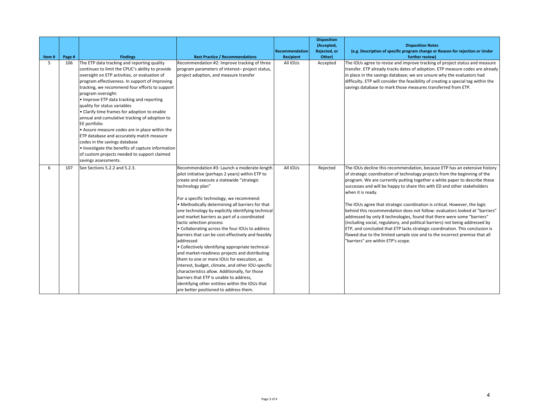| Item# | Page # | <b>Findings</b>                                                                                                                                                                                                                                                                                                                                                                                                                                                                                                                                                                                                                                                                                                                       | <b>Best Practice / Recommendations</b>                                                                                                                                                                                                                                                                                                                                                                                                                                                                                                                                                                                                                                                                                                                                                                                                                                                                                       | <b>Recommendation</b><br>Recipient | <b>Disposition</b><br>(Accepted,<br>Rejected, or<br>Other) | <b>Disposition Notes</b><br>(e.g. Description of specific program change or Reason for rejection or Under<br>further review)                                                                                                                                                                                                                                                                                                                                                                                                                                                                                                                                                                                                                                                                                                                                          |
|-------|--------|---------------------------------------------------------------------------------------------------------------------------------------------------------------------------------------------------------------------------------------------------------------------------------------------------------------------------------------------------------------------------------------------------------------------------------------------------------------------------------------------------------------------------------------------------------------------------------------------------------------------------------------------------------------------------------------------------------------------------------------|------------------------------------------------------------------------------------------------------------------------------------------------------------------------------------------------------------------------------------------------------------------------------------------------------------------------------------------------------------------------------------------------------------------------------------------------------------------------------------------------------------------------------------------------------------------------------------------------------------------------------------------------------------------------------------------------------------------------------------------------------------------------------------------------------------------------------------------------------------------------------------------------------------------------------|------------------------------------|------------------------------------------------------------|-----------------------------------------------------------------------------------------------------------------------------------------------------------------------------------------------------------------------------------------------------------------------------------------------------------------------------------------------------------------------------------------------------------------------------------------------------------------------------------------------------------------------------------------------------------------------------------------------------------------------------------------------------------------------------------------------------------------------------------------------------------------------------------------------------------------------------------------------------------------------|
| 5     | 106    | The ETP data tracking and reporting quality<br>continues to limit the CPUC's ability to provide<br>oversight on ETP activities, or evaluation of<br>program effectiveness. In support of improving<br>tracking, we recommend four efforts to support<br>program oversight:<br>. Improve ETP data tracking and reporting<br>quality for status variables<br>• Clarify time frames for adoption to enable<br>annual and cumulative tracking of adoption to<br>EE portfolio<br>. Assure measure codes are in place within the<br>ETP database and accurately match measure<br>codes in the savings database<br>. Investigate the benefits of capture information<br>of custom projects needed to support claimed<br>savings assessments. | Recommendation #2: Improve tracking of three<br>program parameters of interest-project status,<br>project adoption, and measure transfer                                                                                                                                                                                                                                                                                                                                                                                                                                                                                                                                                                                                                                                                                                                                                                                     | All IOUs                           | Accepted                                                   | The IOUs agree to revise and improve tracking of project status and measure<br>transfer. ETP already tracks dates of adoption. ETP measure codes are already<br>in place in the savings database; we are unsure why the evaluators had<br>difficulty. ETP will consider the feasibility of creating a special tag within the<br>savings database to mark those measures transferred from ETP.                                                                                                                                                                                                                                                                                                                                                                                                                                                                         |
| 6     | 107    | See Sections 5.2.2 and 5.2.3.                                                                                                                                                                                                                                                                                                                                                                                                                                                                                                                                                                                                                                                                                                         | Recommendation #3: Launch a moderate-length<br>pilot initiative (perhaps 2 years) within ETP to<br>create and execute a statewide "strategic<br>technology plan"<br>For a specific technology, we recommend:<br>. Methodically determining all barriers for that<br>one technology by explicitly identifying technical<br>and market barriers as part of a coordinated<br>tactic selection process<br>. Collaborating across the four IOUs to address<br>barriers that can be cost-effectively and feasibly<br>addressed<br>· Collectively identifying appropriate technical-<br>and market-readiness projects and distributing<br>them to one or more IOUs for execution, as<br>interest, budget, climate, and other IOU-specific<br>characteristics allow. Additionally, for those<br>barriers that ETP is unable to address,<br>identifying other entities within the IOUs that<br>are better positioned to address them. | All IOUs                           | Rejected                                                   | The IOUs decline this recommendation, because ETP has an extensive history<br>of strategic coordination of technology projects from the beginning of the<br>program. We are currently putting together a white paper to describe these<br>successes and will be happy to share this with ED and other stakeholders<br>when it is ready.<br>The IOUs agree that strategic coordination is critical. However, the logic<br>behind this recommendation does not follow: evaluators looked at "barriers"<br>addressed by only 8 technologies, found that there were some "barriers"<br>(including social, regulatory, and political barriers) not being addressed by<br>ETP, and concluded that ETP lacks strategic coordination. This conclusion is<br>flawed due to the limited sample size and to the incorrect premise that all<br>"barriers" are within ETP's scope. |